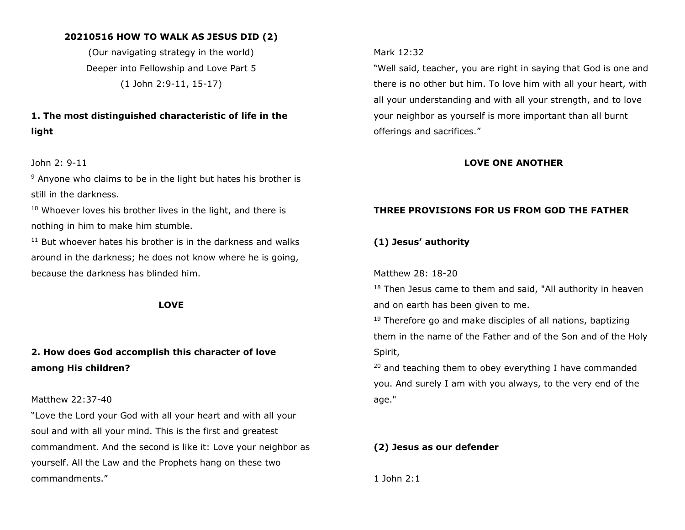## **20210516 HOW TO WALK AS JESUS DID (2)**

(Our navigating strategy in the world) Deeper into Fellowship and Love Part 5 (1 John 2:9-11, 15-17)

# **1. The most distinguished characteristic of life in the light**

### John 2: 9-11

<sup>9</sup> Anyone who claims to be in the light but hates his brother is still in the darkness.

 $10$  Whoever loves his brother lives in the light, and there is nothing in him to make him stumble.

 $11$  But whoever hates his brother is in the darkness and walks around in the darkness; he does not know where he is going, because the darkness has blinded him.

#### **LOVE**

# **2. How does God accomplish this character of love among His children?**

#### Matthew 22:37-40

"Love the Lord your God with all your heart and with all your soul and with all your mind. This is the first and greatest commandment. And the second is like it: Love your neighbor as yourself. All the Law and the Prophets hang on these two commandments."

## Mark 12:32

"Well said, teacher, you are right in saying that God is one and there is no other but him. To love him with all your heart, with all your understanding and with all your strength, and to love your neighbor as yourself is more important than all burnt offerings and sacrifices."

#### **LOVE ONE ANOTHER**

## **THREE PROVISIONS FOR US FROM GOD THE FATHER**

## **(1) Jesus' authority**

Matthew 28: 18-20

<sup>18</sup> Then Jesus came to them and said, "All authority in heaven and on earth has been given to me.

<sup>19</sup> Therefore go and make disciples of all nations, baptizing them in the name of the Father and of the Son and of the Holy Spirit,

 $20$  and teaching them to obey everything I have commanded you. And surely I am with you always, to the very end of the age."

#### **(2) Jesus as our defender**

1 John 2:1